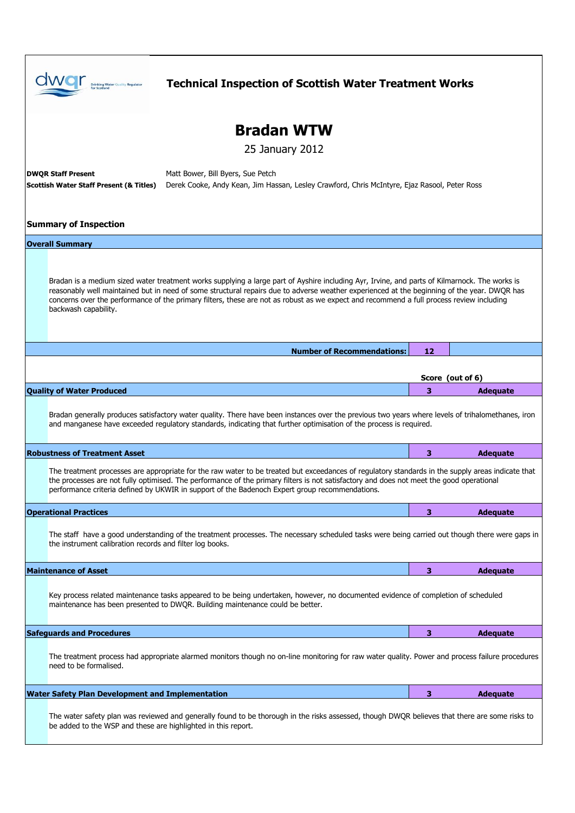|                                      |                                                                                                                                                                                                                                                                                                                                                                                                                                                                  | <b>Technical Inspection of Scottish Water Treatment Works</b>                                                                                                                                                                                                           |    |                  |  |  |  |
|--------------------------------------|------------------------------------------------------------------------------------------------------------------------------------------------------------------------------------------------------------------------------------------------------------------------------------------------------------------------------------------------------------------------------------------------------------------------------------------------------------------|-------------------------------------------------------------------------------------------------------------------------------------------------------------------------------------------------------------------------------------------------------------------------|----|------------------|--|--|--|
| <b>Bradan WTW</b><br>25 January 2012 |                                                                                                                                                                                                                                                                                                                                                                                                                                                                  |                                                                                                                                                                                                                                                                         |    |                  |  |  |  |
|                                      | Matt Bower, Bill Byers, Sue Petch<br><b>DWOR Staff Present</b><br>Derek Cooke, Andy Kean, Jim Hassan, Lesley Crawford, Chris McIntyre, Ejaz Rasool, Peter Ross<br><b>Scottish Water Staff Present (&amp; Titles)</b>                                                                                                                                                                                                                                             |                                                                                                                                                                                                                                                                         |    |                  |  |  |  |
| <b>Summary of Inspection</b>         |                                                                                                                                                                                                                                                                                                                                                                                                                                                                  |                                                                                                                                                                                                                                                                         |    |                  |  |  |  |
|                                      | <b>Overall Summary</b>                                                                                                                                                                                                                                                                                                                                                                                                                                           |                                                                                                                                                                                                                                                                         |    |                  |  |  |  |
|                                      | Bradan is a medium sized water treatment works supplying a large part of Ayshire including Ayr, Irvine, and parts of Kilmarnock. The works is<br>reasonably well maintained but in need of some structural repairs due to adverse weather experienced at the beginning of the year. DWQR has<br>concerns over the performance of the primary filters, these are not as robust as we expect and recommend a full process review including<br>backwash capability. |                                                                                                                                                                                                                                                                         |    |                  |  |  |  |
|                                      |                                                                                                                                                                                                                                                                                                                                                                                                                                                                  | <b>Number of Recommendations:</b>                                                                                                                                                                                                                                       | 12 |                  |  |  |  |
|                                      |                                                                                                                                                                                                                                                                                                                                                                                                                                                                  |                                                                                                                                                                                                                                                                         |    | Score (out of 6) |  |  |  |
|                                      | <b>Quality of Water Produced</b>                                                                                                                                                                                                                                                                                                                                                                                                                                 |                                                                                                                                                                                                                                                                         | 3  | <b>Adequate</b>  |  |  |  |
|                                      |                                                                                                                                                                                                                                                                                                                                                                                                                                                                  | Bradan generally produces satisfactory water quality. There have been instances over the previous two years where levels of trihalomethanes, iron<br>and manganese have exceeded regulatory standards, indicating that further optimisation of the process is reguired. |    |                  |  |  |  |
|                                      | <b>Robustness of Treatment Asset</b>                                                                                                                                                                                                                                                                                                                                                                                                                             |                                                                                                                                                                                                                                                                         | 3  | <b>Adequate</b>  |  |  |  |
|                                      | The treatment processes are appropriate for the raw water to be treated but exceedances of regulatory standards in the supply areas indicate that<br>the processes are not fully optimised. The performance of the primary filters is not satisfactory and does not meet the good operational<br>performance criteria defined by UKWIR in support of the Badenoch Expert group recommendations.                                                                  |                                                                                                                                                                                                                                                                         |    |                  |  |  |  |
|                                      | <b>Operational Practices</b>                                                                                                                                                                                                                                                                                                                                                                                                                                     |                                                                                                                                                                                                                                                                         | 3  | <b>Adequate</b>  |  |  |  |
|                                      | the instrument calibration records and filter log books.                                                                                                                                                                                                                                                                                                                                                                                                         | The staff have a good understanding of the treatment processes. The necessary scheduled tasks were being carried out though there were gaps in                                                                                                                          |    |                  |  |  |  |
|                                      | <b>Maintenance of Asset</b>                                                                                                                                                                                                                                                                                                                                                                                                                                      |                                                                                                                                                                                                                                                                         | 3  | <b>Adequate</b>  |  |  |  |
|                                      |                                                                                                                                                                                                                                                                                                                                                                                                                                                                  | Key process related maintenance tasks appeared to be being undertaken, however, no documented evidence of completion of scheduled<br>maintenance has been presented to DWOR. Building maintenance could be better.                                                      |    |                  |  |  |  |
|                                      | <b>Safeguards and Procedures</b>                                                                                                                                                                                                                                                                                                                                                                                                                                 |                                                                                                                                                                                                                                                                         | 3  | <b>Adequate</b>  |  |  |  |
|                                      | need to be formalised.                                                                                                                                                                                                                                                                                                                                                                                                                                           | The treatment process had appropriate alarmed monitors though no on-line monitoring for raw water quality. Power and process failure procedures                                                                                                                         |    |                  |  |  |  |
|                                      | <b>Water Safety Plan Development and Implementation</b>                                                                                                                                                                                                                                                                                                                                                                                                          |                                                                                                                                                                                                                                                                         | 3  | <b>Adequate</b>  |  |  |  |
|                                      | be added to the WSP and these are highlighted in this report.                                                                                                                                                                                                                                                                                                                                                                                                    | The water safety plan was reviewed and generally found to be thorough in the risks assessed, though DWQR believes that there are some risks to                                                                                                                          |    |                  |  |  |  |